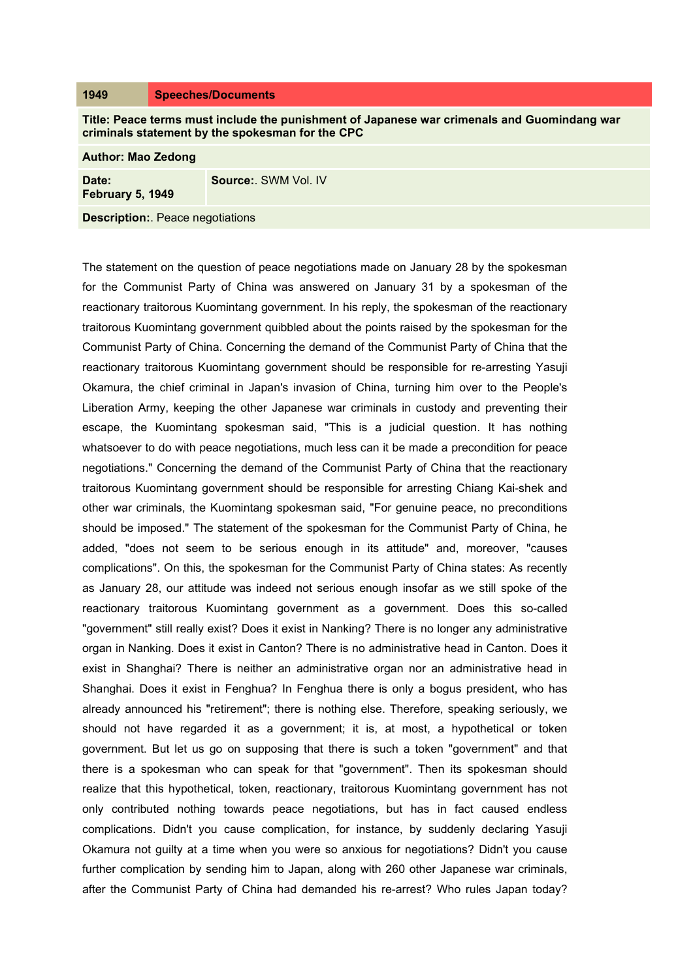## **1949 Speeches/Documents**

**Title: Peace terms must include the punishment of Japanese war crimenals and Guomindang war criminals statement by the spokesman for the CPC**

| <b>Author: Mao Zedong</b>              |                     |
|----------------------------------------|---------------------|
| Date:<br>February 5, 1949              | Source: SWM Vol. IV |
| <b>Description:</b> Peace negotiations |                     |

The statement on the question of peace negotiations made on January 28 by the spokesman for the Communist Party of China was answered on January 31 by a spokesman of the reactionary traitorous Kuomintang government. In his reply, the spokesman of the reactionary traitorous Kuomintang government quibbled about the points raised by the spokesman for the Communist Party of China. Concerning the demand of the Communist Party of China that the reactionary traitorous Kuomintang government should be responsible for re-arresting Yasuji Okamura, the chief criminal in Japan's invasion of China, turning him over to the People's Liberation Army, keeping the other Japanese war criminals in custody and preventing their escape, the Kuomintang spokesman said, "This is a judicial question. It has nothing whatsoever to do with peace negotiations, much less can it be made a precondition for peace negotiations." Concerning the demand of the Communist Party of China that the reactionary traitorous Kuomintang government should be responsible for arresting Chiang Kai-shek and other war criminals, the Kuomintang spokesman said, "For genuine peace, no preconditions should be imposed." The statement of the spokesman for the Communist Party of China, he added, "does not seem to be serious enough in its attitude" and, moreover, "causes complications". On this, the spokesman for the Communist Party of China states: As recently as January 28, our attitude was indeed not serious enough insofar as we still spoke of the reactionary traitorous Kuomintang government as a government. Does this so-called "government" still really exist? Does it exist in Nanking? There is no longer any administrative organ in Nanking. Does it exist in Canton? There is no administrative head in Canton. Does it exist in Shanghai? There is neither an administrative organ nor an administrative head in Shanghai. Does it exist in Fenghua? In Fenghua there is only a bogus president, who has already announced his "retirement"; there is nothing else. Therefore, speaking seriously, we should not have regarded it as a government; it is, at most, a hypothetical or token government. But let us go on supposing that there is such a token "government" and that there is a spokesman who can speak for that "government". Then its spokesman should realize that this hypothetical, token, reactionary, traitorous Kuomintang government has not only contributed nothing towards peace negotiations, but has in fact caused endless complications. Didn't you cause complication, for instance, by suddenly declaring Yasuji Okamura not guilty at a time when you were so anxious for negotiations? Didn't you cause further complication by sending him to Japan, along with 260 other Japanese war criminals, after the Communist Party of China had demanded his re-arrest? Who rules Japan today?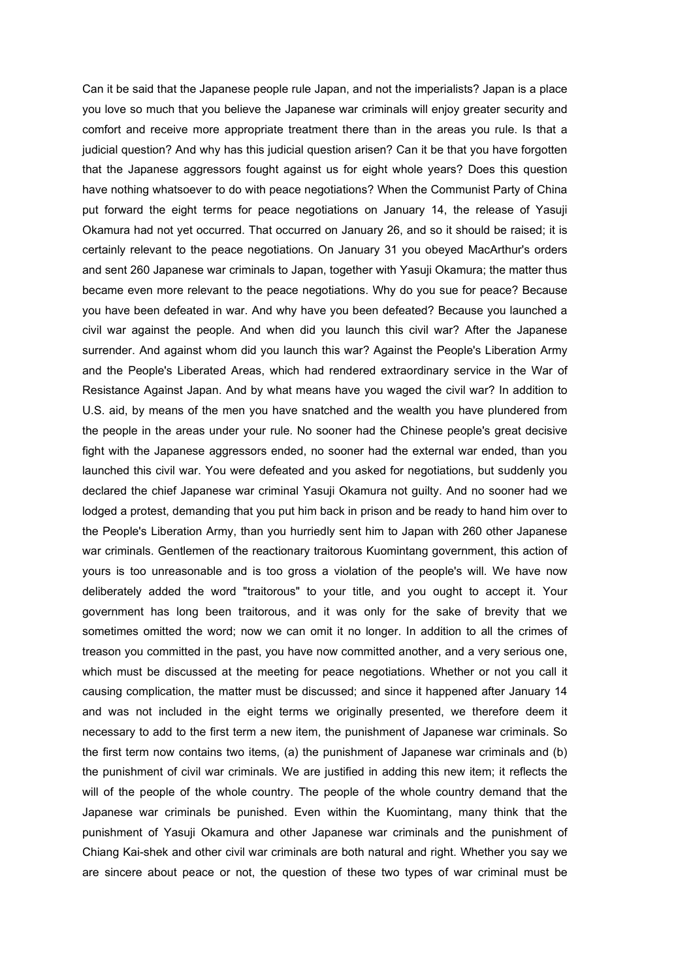Can it be said that the Japanese people rule Japan, and not the imperialists? Japan is a place you love so much that you believe the Japanese war criminals will enjoy greater security and comfort and receive more appropriate treatment there than in the areas you rule. Is that a judicial question? And why has this judicial question arisen? Can it be that you have forgotten that the Japanese aggressors fought against us for eight whole years? Does this question have nothing whatsoever to do with peace negotiations? When the Communist Party of China put forward the eight terms for peace negotiations on January 14, the release of Yasuji Okamura had not yet occurred. That occurred on January 26, and so it should be raised; it is certainly relevant to the peace negotiations. On January 31 you obeyed MacArthur's orders and sent 260 Japanese war criminals to Japan, together with Yasuji Okamura; the matter thus became even more relevant to the peace negotiations. Why do you sue for peace? Because you have been defeated in war. And why have you been defeated? Because you launched a civil war against the people. And when did you launch this civil war? After the Japanese surrender. And against whom did you launch this war? Against the People's Liberation Army and the People's Liberated Areas, which had rendered extraordinary service in the War of Resistance Against Japan. And by what means have you waged the civil war? In addition to U.S. aid, by means of the men you have snatched and the wealth you have plundered from the people in the areas under your rule. No sooner had the Chinese people's great decisive fight with the Japanese aggressors ended, no sooner had the external war ended, than you launched this civil war. You were defeated and you asked for negotiations, but suddenly you declared the chief Japanese war criminal Yasuji Okamura not guilty. And no sooner had we lodged a protest, demanding that you put him back in prison and be ready to hand him over to the People's Liberation Army, than you hurriedly sent him to Japan with 260 other Japanese war criminals. Gentlemen of the reactionary traitorous Kuomintang government, this action of yours is too unreasonable and is too gross a violation of the people's will. We have now deliberately added the word "traitorous" to your title, and you ought to accept it. Your government has long been traitorous, and it was only for the sake of brevity that we sometimes omitted the word; now we can omit it no longer. In addition to all the crimes of treason you committed in the past, you have now committed another, and a very serious one, which must be discussed at the meeting for peace negotiations. Whether or not you call it causing complication, the matter must be discussed; and since it happened after January 14 and was not included in the eight terms we originally presented, we therefore deem it necessary to add to the first term a new item, the punishment of Japanese war criminals. So the first term now contains two items, (a) the punishment of Japanese war criminals and (b) the punishment of civil war criminals. We are justified in adding this new item; it reflects the will of the people of the whole country. The people of the whole country demand that the Japanese war criminals be punished. Even within the Kuomintang, many think that the punishment of Yasuji Okamura and other Japanese war criminals and the punishment of Chiang Kai-shek and other civil war criminals are both natural and right. Whether you say we are sincere about peace or not, the question of these two types of war criminal must be